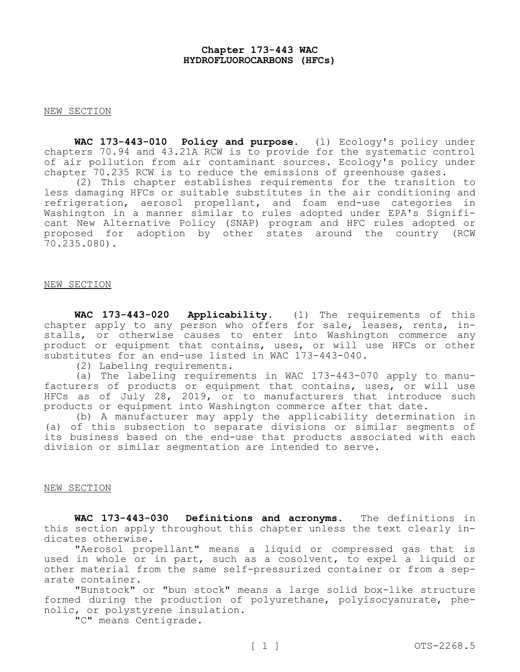### **Chapter 173-443 WAC HYDROFLUOROCARBONS (HFCs)**

### NEW SECTION

**WAC 173-443-010 Policy and purpose.** (1) Ecology's policy under chapters 70.94 and 43.21A RCW is to provide for the systematic control of air pollution from air contaminant sources. Ecology's policy under chapter 70.235 RCW is to reduce the emissions of greenhouse gases.

(2) This chapter establishes requirements for the transition to less damaging HFCs or suitable substitutes in the air conditioning and refrigeration, aerosol propellant, and foam end-use categories in Washington in a manner similar to rules adopted under EPA's Significant New Alternative Policy (SNAP) program and HFC rules adopted or proposed for adoption by other states around the country (RCW 70.235.080).

### NEW SECTION

**WAC 173-443-020 Applicability.** (1) The requirements of this chapter apply to any person who offers for sale, leases, rents, installs, or otherwise causes to enter into Washington commerce any product or equipment that contains, uses, or will use HFCs or other substitutes for an end-use listed in WAC 173-443-040.

(2) Labeling requirements.

(a) The labeling requirements in WAC 173-443-070 apply to manufacturers of products or equipment that contains, uses, or will use HFCs as of July 28, 2019, or to manufacturers that introduce such products or equipment into Washington commerce after that date.

(b) A manufacturer may apply the applicability determination in (a) of this subsection to separate divisions or similar segments of its business based on the end-use that products associated with each division or similar segmentation are intended to serve.

### NEW SECTION

**WAC 173-443-030 Definitions and acronyms.** The definitions in this section apply throughout this chapter unless the text clearly indicates otherwise.

"Aerosol propellant" means a liquid or compressed gas that is used in whole or in part, such as a cosolvent, to expel a liquid or other material from the same self-pressurized container or from a separate container.

"Bunstock" or "bun stock" means a large solid box-like structure formed during the production of polyurethane, polyisocyanurate, phenolic, or polystyrene insulation.

"C" means Centigrade.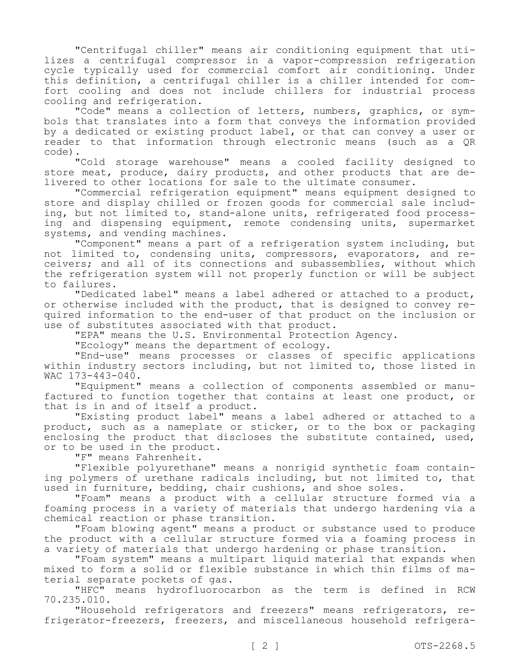"Centrifugal chiller" means air conditioning equipment that utilizes a centrifugal compressor in a vapor-compression refrigeration cycle typically used for commercial comfort air conditioning. Under this definition, a centrifugal chiller is a chiller intended for comfort cooling and does not include chillers for industrial process cooling and refrigeration.

"Code" means a collection of letters, numbers, graphics, or symbols that translates into a form that conveys the information provided by a dedicated or existing product label, or that can convey a user or reader to that information through electronic means (such as a QR code).

"Cold storage warehouse" means a cooled facility designed to store meat, produce, dairy products, and other products that are delivered to other locations for sale to the ultimate consumer.

"Commercial refrigeration equipment" means equipment designed to store and display chilled or frozen goods for commercial sale including, but not limited to, stand-alone units, refrigerated food processing and dispensing equipment, remote condensing units, supermarket systems, and vending machines.

"Component" means a part of a refrigeration system including, but not limited to, condensing units, compressors, evaporators, and receivers; and all of its connections and subassemblies, without which the refrigeration system will not properly function or will be subject to failures.

"Dedicated label" means a label adhered or attached to a product, or otherwise included with the product, that is designed to convey required information to the end-user of that product on the inclusion or use of substitutes associated with that product.

"EPA" means the U.S. Environmental Protection Agency.

"Ecology" means the department of ecology.

"End-use" means processes or classes of specific applications within industry sectors including, but not limited to, those listed in WAC 173-443-040.

"Equipment" means a collection of components assembled or manufactured to function together that contains at least one product, or that is in and of itself a product.

"Existing product label" means a label adhered or attached to a product, such as a nameplate or sticker, or to the box or packaging enclosing the product that discloses the substitute contained, used, or to be used in the product.

"F" means Fahrenheit.

"Flexible polyurethane" means a nonrigid synthetic foam containing polymers of urethane radicals including, but not limited to, that used in furniture, bedding, chair cushions, and shoe soles.

"Foam" means a product with a cellular structure formed via a foaming process in a variety of materials that undergo hardening via a chemical reaction or phase transition.

"Foam blowing agent" means a product or substance used to produce the product with a cellular structure formed via a foaming process in a variety of materials that undergo hardening or phase transition.

"Foam system" means a multipart liquid material that expands when mixed to form a solid or flexible substance in which thin films of material separate pockets of gas.

"HFC" means hydrofluorocarbon as the term is defined in RCW 70.235.010.

"Household refrigerators and freezers" means refrigerators, refrigerator-freezers, freezers, and miscellaneous household refrigera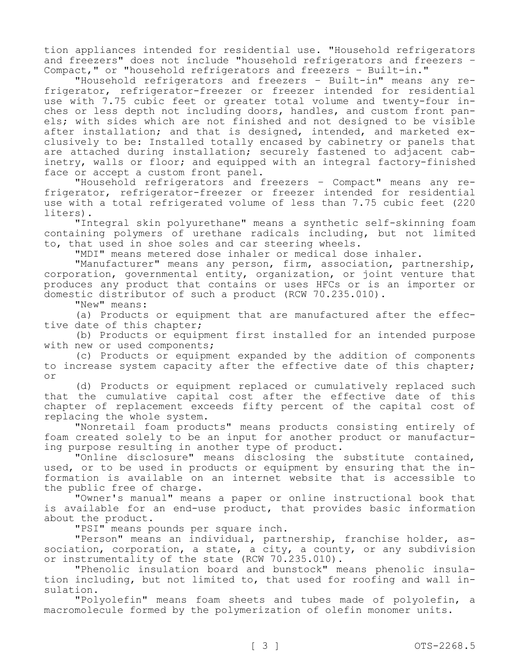tion appliances intended for residential use. "Household refrigerators and freezers" does not include "household refrigerators and freezers – Compact," or "household refrigerators and freezers – Built-in."

"Household refrigerators and freezers – Built-in" means any refrigerator, refrigerator-freezer or freezer intended for residential use with 7.75 cubic feet or greater total volume and twenty-four inches or less depth not including doors, handles, and custom front panels; with sides which are not finished and not designed to be visible after installation; and that is designed, intended, and marketed exclusively to be: Installed totally encased by cabinetry or panels that are attached during installation; securely fastened to adjacent cabinetry, walls or floor; and equipped with an integral factory-finished face or accept a custom front panel.

"Household refrigerators and freezers – Compact" means any refrigerator, refrigerator-freezer or freezer intended for residential use with a total refrigerated volume of less than 7.75 cubic feet (220 liters).

"Integral skin polyurethane" means a synthetic self-skinning foam containing polymers of urethane radicals including, but not limited to, that used in shoe soles and car steering wheels.

"MDI" means metered dose inhaler or medical dose inhaler.

"Manufacturer" means any person, firm, association, partnership, corporation, governmental entity, organization, or joint venture that produces any product that contains or uses HFCs or is an importer or domestic distributor of such a product (RCW 70.235.010).

"New" means:

(a) Products or equipment that are manufactured after the effective date of this chapter;

(b) Products or equipment first installed for an intended purpose with new or used components;

(c) Products or equipment expanded by the addition of components to increase system capacity after the effective date of this chapter; or

(d) Products or equipment replaced or cumulatively replaced such that the cumulative capital cost after the effective date of this chapter of replacement exceeds fifty percent of the capital cost of replacing the whole system.

"Nonretail foam products" means products consisting entirely of foam created solely to be an input for another product or manufacturing purpose resulting in another type of product.

"Online disclosure" means disclosing the substitute contained, used, or to be used in products or equipment by ensuring that the information is available on an internet website that is accessible to the public free of charge.

"Owner's manual" means a paper or online instructional book that is available for an end-use product, that provides basic information about the product.

"PSI" means pounds per square inch.

"Person" means an individual, partnership, franchise holder, association, corporation, a state, a city, a county, or any subdivision or instrumentality of the state (RCW 70.235.010).

"Phenolic insulation board and bunstock" means phenolic insulation including, but not limited to, that used for roofing and wall insulation.

"Polyolefin" means foam sheets and tubes made of polyolefin, a macromolecule formed by the polymerization of olefin monomer units.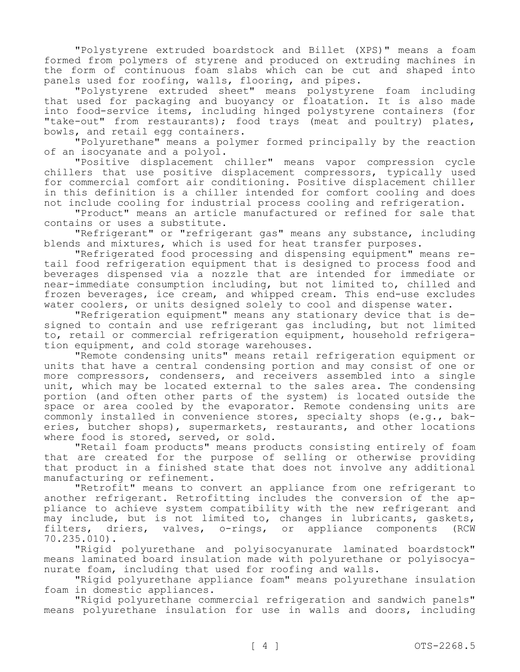"Polystyrene extruded boardstock and Billet (XPS)" means a foam formed from polymers of styrene and produced on extruding machines in the form of continuous foam slabs which can be cut and shaped into panels used for roofing, walls, flooring, and pipes.

"Polystyrene extruded sheet" means polystyrene foam including that used for packaging and buoyancy or floatation. It is also made into food-service items, including hinged polystyrene containers (for "take-out" from restaurants); food trays (meat and poultry) plates, bowls, and retail egg containers.

"Polyurethane" means a polymer formed principally by the reaction of an isocyanate and a polyol.

"Positive displacement chiller" means vapor compression cycle chillers that use positive displacement compressors, typically used for commercial comfort air conditioning. Positive displacement chiller in this definition is a chiller intended for comfort cooling and does not include cooling for industrial process cooling and refrigeration.

"Product" means an article manufactured or refined for sale that contains or uses a substitute.

"Refrigerant" or "refrigerant gas" means any substance, including blends and mixtures, which is used for heat transfer purposes.

"Refrigerated food processing and dispensing equipment" means retail food refrigeration equipment that is designed to process food and beverages dispensed via a nozzle that are intended for immediate or near-immediate consumption including, but not limited to, chilled and frozen beverages, ice cream, and whipped cream. This end-use excludes water coolers, or units designed solely to cool and dispense water.

"Refrigeration equipment" means any stationary device that is designed to contain and use refrigerant gas including, but not limited to, retail or commercial refrigeration equipment, household refrigeration equipment, and cold storage warehouses.

"Remote condensing units" means retail refrigeration equipment or units that have a central condensing portion and may consist of one or more compressors, condensers, and receivers assembled into a single unit, which may be located external to the sales area. The condensing portion (and often other parts of the system) is located outside the space or area cooled by the evaporator. Remote condensing units are commonly installed in convenience stores, specialty shops (e.g., bakeries, butcher shops), supermarkets, restaurants, and other locations where food is stored, served, or sold.

"Retail foam products" means products consisting entirely of foam that are created for the purpose of selling or otherwise providing that product in a finished state that does not involve any additional manufacturing or refinement.

"Retrofit" means to convert an appliance from one refrigerant to another refrigerant. Retrofitting includes the conversion of the appliance to achieve system compatibility with the new refrigerant and may include, but is not limited to, changes in lubricants, gaskets, filters, driers, valves, o-rings, or appliance components (RCW 70.235.010).

"Rigid polyurethane and polyisocyanurate laminated boardstock" means laminated board insulation made with polyurethane or polyisocyanurate foam, including that used for roofing and walls.

"Rigid polyurethane appliance foam" means polyurethane insulation foam in domestic appliances.

"Rigid polyurethane commercial refrigeration and sandwich panels" means polyurethane insulation for use in walls and doors, including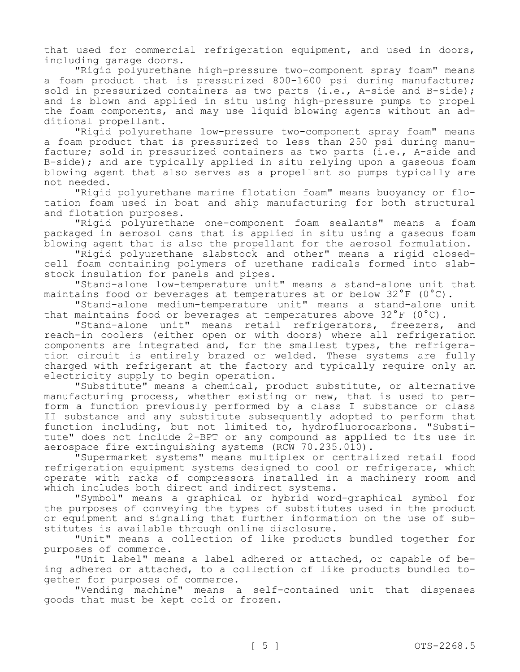that used for commercial refrigeration equipment, and used in doors, including garage doors.

"Rigid polyurethane high-pressure two-component spray foam" means a foam product that is pressurized 800-1600 psi during manufacture; sold in pressurized containers as two parts (i.e., A-side and B-side); and is blown and applied in situ using high-pressure pumps to propel the foam components, and may use liquid blowing agents without an additional propellant.

"Rigid polyurethane low-pressure two-component spray foam" means a foam product that is pressurized to less than 250 psi during manufacture; sold in pressurized containers as two parts (i.e., A-side and B-side); and are typically applied in situ relying upon a gaseous foam blowing agent that also serves as a propellant so pumps typically are not needed.

"Rigid polyurethane marine flotation foam" means buoyancy or flotation foam used in boat and ship manufacturing for both structural and flotation purposes.

"Rigid polyurethane one-component foam sealants" means a foam packaged in aerosol cans that is applied in situ using a gaseous foam blowing agent that is also the propellant for the aerosol formulation.

"Rigid polyurethane slabstock and other" means a rigid closedcell foam containing polymers of urethane radicals formed into slabstock insulation for panels and pipes.

"Stand-alone low-temperature unit" means a stand-alone unit that maintains food or beverages at temperatures at or below 32°F (0°C).

"Stand-alone medium-temperature unit" means a stand-alone unit that maintains food or beverages at temperatures above 32°F (0°C).

"Stand-alone unit" means retail refrigerators, freezers, and reach-in coolers (either open or with doors) where all refrigeration components are integrated and, for the smallest types, the refrigeration circuit is entirely brazed or welded. These systems are fully charged with refrigerant at the factory and typically require only an electricity supply to begin operation.

"Substitute" means a chemical, product substitute, or alternative manufacturing process, whether existing or new, that is used to perform a function previously performed by a class I substance or class II substance and any substitute subsequently adopted to perform that function including, but not limited to, hydrofluorocarbons. "Substitute" does not include 2-BPT or any compound as applied to its use in aerospace fire extinguishing systems (RCW 70.235.010).

"Supermarket systems" means multiplex or centralized retail food refrigeration equipment systems designed to cool or refrigerate, which operate with racks of compressors installed in a machinery room and which includes both direct and indirect systems.

"Symbol" means a graphical or hybrid word-graphical symbol for the purposes of conveying the types of substitutes used in the product or equipment and signaling that further information on the use of substitutes is available through online disclosure.

"Unit" means a collection of like products bundled together for purposes of commerce.

"Unit label" means a label adhered or attached, or capable of being adhered or attached, to a collection of like products bundled together for purposes of commerce.

"Vending machine" means a self-contained unit that dispenses goods that must be kept cold or frozen.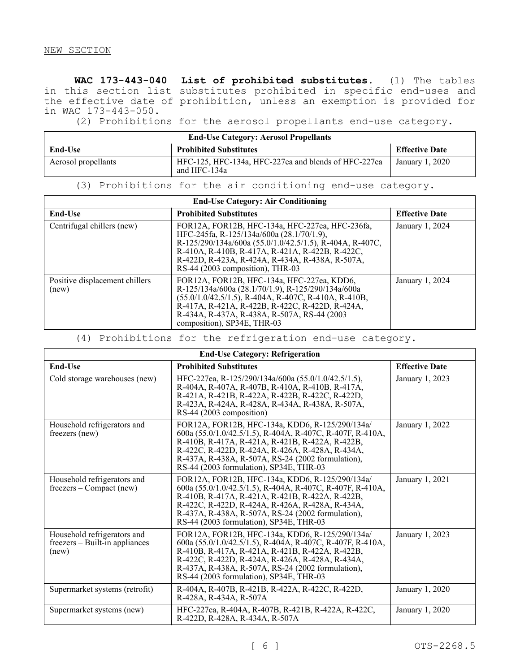**WAC 173-443-040 List of prohibited substitutes.** (1) The tables in this section list substitutes prohibited in specific end-uses and the effective date of prohibition, unless an exemption is provided for in WAC 173-443-050.

(2) Prohibitions for the aerosol propellants end-use category.

| <b>End-Use Category: Aerosol Propellants</b> |                                                                      |                       |  |
|----------------------------------------------|----------------------------------------------------------------------|-----------------------|--|
| End-Use                                      | <b>Prohibited Substitutes</b>                                        | <b>Effective Date</b> |  |
| Aerosol propellants                          | HFC-125, HFC-134a, HFC-227ea and blends of HFC-227ea<br>and HFC-134a | January 1, 2020       |  |

# (3) Prohibitions for the air conditioning end-use category.

| <b>End-Use Category: Air Conditioning</b> |                                                                                                                                                                                                                                                                                                    |                       |  |  |
|-------------------------------------------|----------------------------------------------------------------------------------------------------------------------------------------------------------------------------------------------------------------------------------------------------------------------------------------------------|-----------------------|--|--|
| <b>End-Use</b>                            | <b>Prohibited Substitutes</b>                                                                                                                                                                                                                                                                      | <b>Effective Date</b> |  |  |
| Centrifugal chillers (new)                | FOR12A, FOR12B, HFC-134a, HFC-227ea, HFC-236fa,<br>HFC-245fa, R-125/134a/600a (28.1/70/1.9),<br>R-125/290/134a/600a (55.0/1.0/42.5/1.5), R-404A, R-407C,<br>R-410A, R-410B, R-417A, R-421A, R-422B, R-422C,<br>R-422D, R-423A, R-424A, R-434A, R-438A, R-507A,<br>RS-44 (2003 composition), THR-03 | January 1, 2024       |  |  |
| Positive displacement chillers<br>(new)   | FOR12A, FOR12B, HFC-134a, HFC-227ea, KDD6,<br>R-125/134a/600a (28.1/70/1.9), R-125/290/134a/600a<br>$(55.0/1.0/42.5/1.5)$ , R-404A, R-407C, R-410A, R-410B,<br>R-417A, R-421A, R-422B, R-422C, R-422D, R-424A,<br>R-434A, R-437A, R-438A, R-507A, RS-44 (2003)<br>composition), SP34E, THR-03      | January 1, 2024       |  |  |

(4) Prohibitions for the refrigeration end-use category.

| <b>End-Use Category: Refrigeration</b>                                 |                                                                                                                                                                                                                                                                                                                    |                       |  |  |
|------------------------------------------------------------------------|--------------------------------------------------------------------------------------------------------------------------------------------------------------------------------------------------------------------------------------------------------------------------------------------------------------------|-----------------------|--|--|
| End-Use                                                                | <b>Prohibited Substitutes</b>                                                                                                                                                                                                                                                                                      | <b>Effective Date</b> |  |  |
| Cold storage warehouses (new)                                          | HFC-227ea, R-125/290/134a/600a (55.0/1.0/42.5/1.5),<br>R-404A, R-407A, R-407B, R-410A, R-410B, R-417A,<br>R-421A, R-421B, R-422A, R-422B, R-422C, R-422D,<br>R-423A, R-424A, R-428A, R-434A, R-438A, R-507A,<br>RS-44 (2003 composition)                                                                           | January 1, 2023       |  |  |
| Household refrigerators and<br>freezers (new)                          | FOR12A, FOR12B, HFC-134a, KDD6, R-125/290/134a/<br>600a (55.0/1.0/42.5/1.5), R-404A, R-407C, R-407F, R-410A,<br>R-410B, R-417A, R-421A, R-421B, R-422A, R-422B,<br>R-422C, R-422D, R-424A, R-426A, R-428A, R-434A,<br>R-437A, R-438A, R-507A, RS-24 (2002 formulation),<br>RS-44 (2003 formulation), SP34E, THR-03 | January 1, 2022       |  |  |
| Household refrigerators and<br>$freezers - Compact(new)$               | FOR12A, FOR12B, HFC-134a, KDD6, R-125/290/134a/<br>600a (55.0/1.0/42.5/1.5), R-404A, R-407C, R-407F, R-410A,<br>R-410B, R-417A, R-421A, R-421B, R-422A, R-422B,<br>R-422C, R-422D, R-424A, R-426A, R-428A, R-434A,<br>R-437A, R-438A, R-507A, RS-24 (2002 formulation),<br>RS-44 (2003 formulation), SP34E, THR-03 | January 1, 2021       |  |  |
| Household refrigerators and<br>freezers – Built-in appliances<br>(new) | FOR12A, FOR12B, HFC-134a, KDD6, R-125/290/134a/<br>600a (55.0/1.0/42.5/1.5), R-404A, R-407C, R-407F, R-410A,<br>R-410B, R-417A, R-421A, R-421B, R-422A, R-422B,<br>R-422C, R-422D, R-424A, R-426A, R-428A, R-434A,<br>R-437A, R-438A, R-507A, RS-24 (2002 formulation),<br>RS-44 (2003 formulation), SP34E, THR-03 | January 1, 2023       |  |  |
| Supermarket systems (retrofit)                                         | R-404A, R-407B, R-421B, R-422A, R-422C, R-422D,<br>R-428A, R-434A, R-507A                                                                                                                                                                                                                                          | January 1, 2020       |  |  |
| Supermarket systems (new)                                              | HFC-227ea, R-404A, R-407B, R-421B, R-422A, R-422C,<br>R-422D, R-428A, R-434A, R-507A                                                                                                                                                                                                                               | January 1, 2020       |  |  |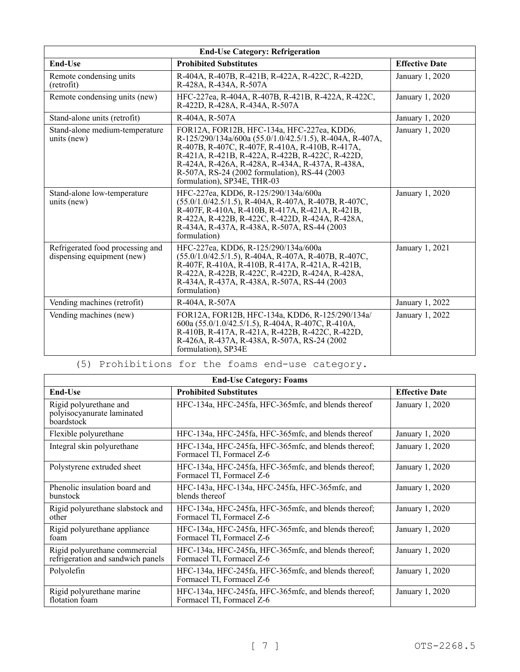| <b>End-Use Category: Refrigeration</b>                         |                                                                                                                                                                                                                                                                                                                                                  |                       |  |  |
|----------------------------------------------------------------|--------------------------------------------------------------------------------------------------------------------------------------------------------------------------------------------------------------------------------------------------------------------------------------------------------------------------------------------------|-----------------------|--|--|
| End-Use                                                        | <b>Prohibited Substitutes</b>                                                                                                                                                                                                                                                                                                                    | <b>Effective Date</b> |  |  |
| Remote condensing units<br>(retrofit)                          | R-404A, R-407B, R-421B, R-422A, R-422C, R-422D,<br>R-428A, R-434A, R-507A                                                                                                                                                                                                                                                                        | January 1, 2020       |  |  |
| Remote condensing units (new)                                  | HFC-227ea, R-404A, R-407B, R-421B, R-422A, R-422C,<br>January 1, 2020<br>R-422D, R-428A, R-434A, R-507A                                                                                                                                                                                                                                          |                       |  |  |
| Stand-alone units (retrofit)                                   | R-404A, R-507A                                                                                                                                                                                                                                                                                                                                   | January 1, 2020       |  |  |
| Stand-alone medium-temperature<br>units (new)                  | FOR12A, FOR12B, HFC-134a, HFC-227ea, KDD6,<br>R-125/290/134a/600a (55.0/1.0/42.5/1.5), R-404A, R-407A,<br>R-407B, R-407C, R-407F, R-410A, R-410B, R-417A,<br>R-421A, R-421B, R-422A, R-422B, R-422C, R-422D,<br>R-424A, R-426A, R-428A, R-434A, R-437A, R-438A,<br>R-507A, RS-24 (2002 formulation), RS-44 (2003)<br>formulation), SP34E, THR-03 | January 1, 2020       |  |  |
| Stand-alone low-temperature<br>units (new)                     | HFC-227ea, KDD6, R-125/290/134a/600a<br>$(55.0/1.0/42.5/1.5)$ , R-404A, R-407A, R-407B, R-407C,<br>R-407F, R-410A, R-410B, R-417A, R-421A, R-421B,<br>R-422A, R-422B, R-422C, R-422D, R-424A, R-428A,<br>R-434A, R-437A, R-438A, R-507A, RS-44 (2003)<br>formulation)                                                                            | January 1, 2020       |  |  |
| Refrigerated food processing and<br>dispensing equipment (new) | HFC-227ea, KDD6, R-125/290/134a/600a<br>$(55.0/1.0/42.5/1.5)$ , R-404A, R-407A, R-407B, R-407C,<br>R-407F, R-410A, R-410B, R-417A, R-421A, R-421B,<br>R-422A, R-422B, R-422C, R-422D, R-424A, R-428A,<br>R-434A, R-437A, R-438A, R-507A, RS-44 (2003)<br>formulation)                                                                            | January 1, 2021       |  |  |
| Vending machines (retrofit)                                    | R-404A, R-507A                                                                                                                                                                                                                                                                                                                                   | January 1, 2022       |  |  |
| Vending machines (new)                                         | FOR12A, FOR12B, HFC-134a, KDD6, R-125/290/134a/<br>600a (55.0/1.0/42.5/1.5), R-404A, R-407C, R-410A,<br>R-410B, R-417A, R-421A, R-422B, R-422C, R-422D,<br>R-426A, R-437A, R-438A, R-507A, RS-24 (2002)<br>formulation), SP34E                                                                                                                   | January 1, 2022       |  |  |

(5) Prohibitions for the foams end-use category.

| <b>End-Use Category: Foams</b>                                     |                                                                                   |                       |  |  |
|--------------------------------------------------------------------|-----------------------------------------------------------------------------------|-----------------------|--|--|
| <b>End-Use</b>                                                     | <b>Prohibited Substitutes</b>                                                     | <b>Effective Date</b> |  |  |
| Rigid polyurethane and<br>polyisocyanurate laminated<br>boardstock | HFC-134a, HFC-245fa, HFC-365mfc, and blends thereof                               | January 1, 2020       |  |  |
| Flexible polyurethane                                              | HFC-134a, HFC-245fa, HFC-365mfc, and blends thereof                               | January 1, 2020       |  |  |
| Integral skin polyurethane                                         | HFC-134a, HFC-245fa, HFC-365mfc, and blends thereof;<br>Formacel TI, Formacel Z-6 | January 1, 2020       |  |  |
| Polystyrene extruded sheet                                         | HFC-134a, HFC-245fa, HFC-365mfc, and blends thereof;<br>Formacel TI, Formacel Z-6 | January 1, 2020       |  |  |
| Phenolic insulation board and<br>bunstock                          | HFC-143a, HFC-134a, HFC-245fa, HFC-365mfc, and<br>blends thereof                  | January 1, 2020       |  |  |
| Rigid polyurethane slabstock and<br>other                          | HFC-134a, HFC-245fa, HFC-365mfc, and blends thereof;<br>Formacel TI, Formacel Z-6 | January 1, 2020       |  |  |
| Rigid polyurethane appliance<br>foam                               | HFC-134a, HFC-245fa, HFC-365mfc, and blends thereof;<br>Formacel TI, Formacel Z-6 | January 1, 2020       |  |  |
| Rigid polyurethane commercial<br>refrigeration and sandwich panels | HFC-134a, HFC-245fa, HFC-365mfc, and blends thereof;<br>Formacel TI, Formacel Z-6 | January 1, 2020       |  |  |
| Polyolefin                                                         | HFC-134a, HFC-245fa, HFC-365mfc, and blends thereof;<br>Formacel TI, Formacel Z-6 | January 1, 2020       |  |  |
| Rigid polyurethane marine<br>flotation foam                        | HFC-134a, HFC-245fa, HFC-365mfc, and blends thereof;<br>Formacel TI, Formacel Z-6 | January 1, 2020       |  |  |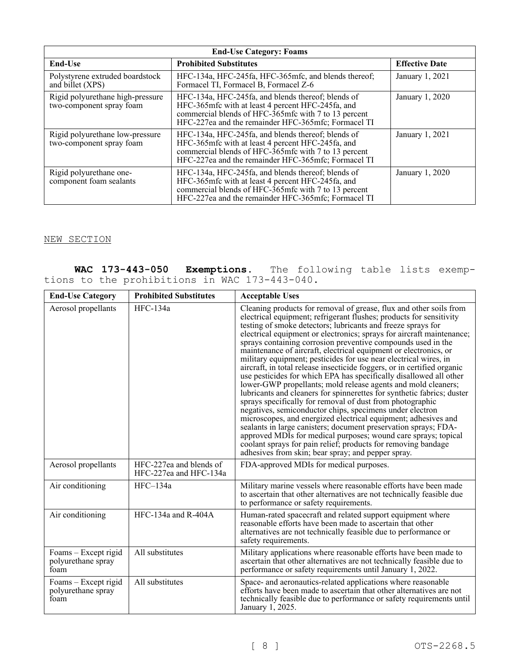| <b>End-Use Category: Foams</b>                               |                                                                                                                                                                                                                        |                       |  |  |
|--------------------------------------------------------------|------------------------------------------------------------------------------------------------------------------------------------------------------------------------------------------------------------------------|-----------------------|--|--|
| End-Use                                                      | <b>Prohibited Substitutes</b>                                                                                                                                                                                          | <b>Effective Date</b> |  |  |
| Polystyrene extruded boardstock<br>and billet (XPS)          | HFC-134a, HFC-245fa, HFC-365mfc, and blends thereof;<br>Formacel TI, Formacel B, Formacel Z-6                                                                                                                          | January 1, 2021       |  |  |
| Rigid polyurethane high-pressure<br>two-component spray foam | HFC-134a, HFC-245fa, and blends thereof; blends of<br>HFC-365mfc with at least 4 percent HFC-245fa, and<br>commercial blends of HFC-365mfc with 7 to 13 percent<br>HFC-227ea and the remainder HFC-365mfc; Formacel TI | January 1, 2020       |  |  |
| Rigid polyurethane low-pressure<br>two-component spray foam  | HFC-134a, HFC-245fa, and blends thereof; blends of<br>HFC-365mfc with at least 4 percent HFC-245fa, and<br>commercial blends of HFC-365mfc with 7 to 13 percent<br>HFC-227ea and the remainder HFC-365mfc; Formacel TI | January 1, 2021       |  |  |
| Rigid polyurethane one-<br>component foam sealants           | HFC-134a, HFC-245fa, and blends thereof; blends of<br>HFC-365mfc with at least 4 percent HFC-245fa, and<br>commercial blends of HFC-365mfc with 7 to 13 percent<br>HFC-227ea and the remainder HFC-365mfc; Formacel TI | January 1, 2020       |  |  |

# NEW SECTION

|  |                                               |  |  | WAC 173-443-050 Exemptions. The following table lists exemp- |  |  |
|--|-----------------------------------------------|--|--|--------------------------------------------------------------|--|--|
|  | tions to the prohibitions in WAC 173-443-040. |  |  |                                                              |  |  |

| <b>End-Use Category</b>                            | <b>Prohibited Substitutes</b>                     | <b>Acceptable Uses</b>                                                                                                                                                                                                                                                                                                                                                                                                                                                                                                                                                                                                                                                                                                                                                                                                                                                                                                                                                                                                                                                                                                                                                                                                                        |
|----------------------------------------------------|---------------------------------------------------|-----------------------------------------------------------------------------------------------------------------------------------------------------------------------------------------------------------------------------------------------------------------------------------------------------------------------------------------------------------------------------------------------------------------------------------------------------------------------------------------------------------------------------------------------------------------------------------------------------------------------------------------------------------------------------------------------------------------------------------------------------------------------------------------------------------------------------------------------------------------------------------------------------------------------------------------------------------------------------------------------------------------------------------------------------------------------------------------------------------------------------------------------------------------------------------------------------------------------------------------------|
| Aerosol propellants                                | $HFC-134a$                                        | Cleaning products for removal of grease, flux and other soils from<br>electrical equipment; refrigerant flushes; products for sensitivity<br>testing of smoke detectors; lubricants and freeze sprays for<br>electrical equipment or electronics; sprays for aircraft maintenance;<br>sprays containing corrosion preventive compounds used in the<br>maintenance of aircraft, electrical equipment or electronics, or<br>military equipment; pesticides for use near electrical wires, in<br>aircraft, in total release insecticide foggers, or in certified organic<br>use pesticides for which EPA has specifically disallowed all other<br>lower-GWP propellants; mold release agents and mold cleaners;<br>lubricants and cleaners for spinnerettes for synthetic fabrics; duster<br>sprays specifically for removal of dust from photographic<br>negatives, semiconductor chips, specimens under electron<br>microscopes, and energized electrical equipment; adhesives and<br>sealants in large canisters; document preservation sprays; FDA-<br>approved MDIs for medical purposes; wound care sprays; topical<br>coolant sprays for pain relief; products for removing bandage<br>adhesives from skin; bear spray; and pepper spray. |
| Aerosol propellants                                | HFC-227ea and blends of<br>HFC-227ea and HFC-134a | FDA-approved MDIs for medical purposes.                                                                                                                                                                                                                                                                                                                                                                                                                                                                                                                                                                                                                                                                                                                                                                                                                                                                                                                                                                                                                                                                                                                                                                                                       |
| Air conditioning                                   | $HFC-134a$                                        | Military marine vessels where reasonable efforts have been made<br>to ascertain that other alternatives are not technically feasible due<br>to performance or safety requirements.                                                                                                                                                                                                                                                                                                                                                                                                                                                                                                                                                                                                                                                                                                                                                                                                                                                                                                                                                                                                                                                            |
| Air conditioning                                   | HFC-134a and R-404A                               | Human-rated spacecraft and related support equipment where<br>reasonable efforts have been made to ascertain that other<br>alternatives are not technically feasible due to performance or<br>safety requirements.                                                                                                                                                                                                                                                                                                                                                                                                                                                                                                                                                                                                                                                                                                                                                                                                                                                                                                                                                                                                                            |
| Foams - Except rigid<br>polyurethane spray<br>foam | All substitutes                                   | Military applications where reasonable efforts have been made to<br>ascertain that other alternatives are not technically feasible due to<br>performance or safety requirements until January 1, 2022.                                                                                                                                                                                                                                                                                                                                                                                                                                                                                                                                                                                                                                                                                                                                                                                                                                                                                                                                                                                                                                        |
| Foams – Except rigid<br>polyurethane spray<br>foam | All substitutes                                   | Space- and aeronautics-related applications where reasonable<br>efforts have been made to ascertain that other alternatives are not<br>technically feasible due to performance or safety requirements until<br>January 1, 2025.                                                                                                                                                                                                                                                                                                                                                                                                                                                                                                                                                                                                                                                                                                                                                                                                                                                                                                                                                                                                               |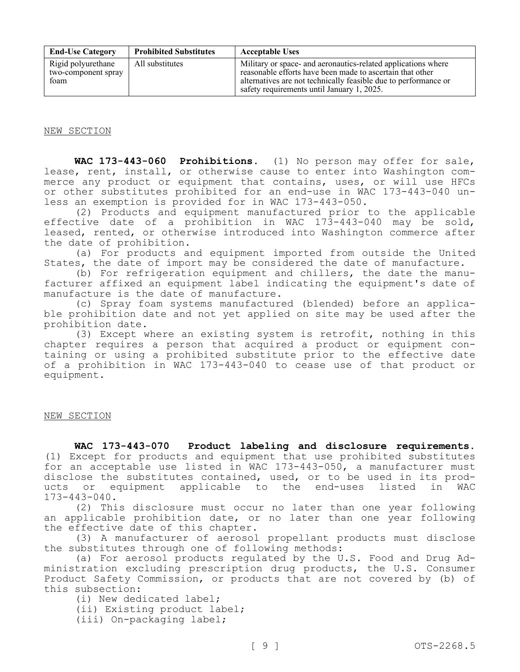| <b>End-Use Category</b>                           | <b>Prohibited Substitutes</b> | <b>Acceptable Uses</b>                                                                                                                                                                                                                      |
|---------------------------------------------------|-------------------------------|---------------------------------------------------------------------------------------------------------------------------------------------------------------------------------------------------------------------------------------------|
| Rigid polyurethane<br>two-component spray<br>foam | All substitutes               | Military or space- and aeronautics-related applications where<br>reasonable efforts have been made to ascertain that other<br>alternatives are not technically feasible due to performance or<br>safety requirements until January 1, 2025. |

NEW SECTION

**WAC 173-443-060 Prohibitions.** (1) No person may offer for sale, lease, rent, install, or otherwise cause to enter into Washington commerce any product or equipment that contains, uses, or will use HFCs or other substitutes prohibited for an end-use in WAC 173-443-040 unless an exemption is provided for in WAC 173-443-050.

(2) Products and equipment manufactured prior to the applicable effective date of a prohibition in WAC 173-443-040 may be sold, leased, rented, or otherwise introduced into Washington commerce after the date of prohibition.

(a) For products and equipment imported from outside the United States, the date of import may be considered the date of manufacture.

(b) For refrigeration equipment and chillers, the date the manufacturer affixed an equipment label indicating the equipment's date of manufacture is the date of manufacture.

(c) Spray foam systems manufactured (blended) before an applicable prohibition date and not yet applied on site may be used after the prohibition date.

(3) Except where an existing system is retrofit, nothing in this chapter requires a person that acquired a product or equipment containing or using a prohibited substitute prior to the effective date of a prohibition in WAC 173-443-040 to cease use of that product or equipment.

## NEW SECTION

**WAC 173-443-070 Product labeling and disclosure requirements.**  (1) Except for products and equipment that use prohibited substitutes for an acceptable use listed in WAC 173-443-050, a manufacturer must disclose the substitutes contained, used, or to be used in its products or equipment applicable to the end-uses listed in WAC 173-443-040.

(2) This disclosure must occur no later than one year following an applicable prohibition date, or no later than one year following the effective date of this chapter.

(3) A manufacturer of aerosol propellant products must disclose the substitutes through one of following methods:

(a) For aerosol products regulated by the U.S. Food and Drug Administration excluding prescription drug products, the U.S. Consumer Product Safety Commission, or products that are not covered by (b) of this subsection:

(i) New dedicated label;

(ii) Existing product label;

(iii) On-packaging label;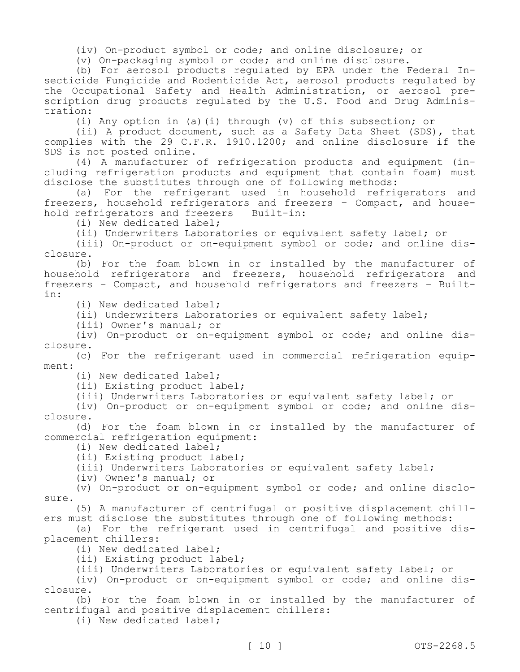(iv) On-product symbol or code; and online disclosure; or

(v) On-packaging symbol or code; and online disclosure.

(b) For aerosol products regulated by EPA under the Federal Insecticide Fungicide and Rodenticide Act, aerosol products regulated by the Occupational Safety and Health Administration, or aerosol prescription drug products regulated by the U.S. Food and Drug Administration:

(i) Any option in (a)(i) through (v) of this subsection; or

(ii) A product document, such as a Safety Data Sheet (SDS), that complies with the 29 C.F.R. 1910.1200; and online disclosure if the SDS is not posted online.

(4) A manufacturer of refrigeration products and equipment (including refrigeration products and equipment that contain foam) must disclose the substitutes through one of following methods:

(a) For the refrigerant used in household refrigerators and freezers, household refrigerators and freezers – Compact, and household refrigerators and freezers – Built-in:

(i) New dedicated label;

(ii) Underwriters Laboratories or equivalent safety label; or

(iii) On-product or on-equipment symbol or code; and online disclosure.

(b) For the foam blown in or installed by the manufacturer of household refrigerators and freezers, household refrigerators and freezers – Compact, and household refrigerators and freezers – Builtin:

(i) New dedicated label;

(ii) Underwriters Laboratories or equivalent safety label;

(iii) Owner's manual; or

(iv) On-product or on-equipment symbol or code; and online disclosure.

(c) For the refrigerant used in commercial refrigeration equipment:

(i) New dedicated label;

(ii) Existing product label;

(iii) Underwriters Laboratories or equivalent safety label; or

(iv) On-product or on-equipment symbol or code; and online disclosure.

(d) For the foam blown in or installed by the manufacturer of commercial refrigeration equipment:

(i) New dedicated label;

(ii) Existing product label;

(iii) Underwriters Laboratories or equivalent safety label;

(iv) Owner's manual; or

(v) On-product or on-equipment symbol or code; and online disclosure.

(5) A manufacturer of centrifugal or positive displacement chillers must disclose the substitutes through one of following methods:

(a) For the refrigerant used in centrifugal and positive displacement chillers:

(i) New dedicated label;

(ii) Existing product label;

(iii) Underwriters Laboratories or equivalent safety label; or

(iv) On-product or on-equipment symbol or code; and online disclosure.

(b) For the foam blown in or installed by the manufacturer of centrifugal and positive displacement chillers:

(i) New dedicated label;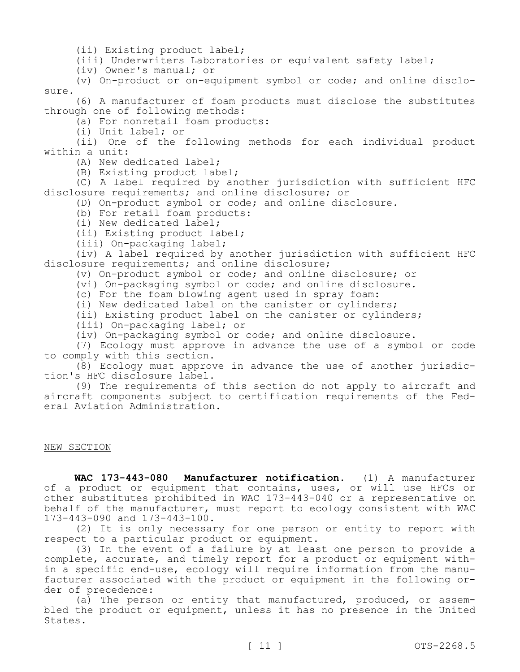(ii) Existing product label;

(iii) Underwriters Laboratories or equivalent safety label;

(iv) Owner's manual; or

(v) On-product or on-equipment symbol or code; and online disclosure.

(6) A manufacturer of foam products must disclose the substitutes through one of following methods:

(a) For nonretail foam products:

(i) Unit label; or

(ii) One of the following methods for each individual product within a unit:

(A) New dedicated label;

(B) Existing product label;

(C) A label required by another jurisdiction with sufficient HFC disclosure requirements; and online disclosure; or

(D) On-product symbol or code; and online disclosure.

(b) For retail foam products:

(i) New dedicated label;

(ii) Existing product label;

(iii) On-packaging label;

(iv) A label required by another jurisdiction with sufficient HFC disclosure requirements; and online disclosure;

(v) On-product symbol or code; and online disclosure; or

(vi) On-packaging symbol or code; and online disclosure.

(c) For the foam blowing agent used in spray foam:

(i) New dedicated label on the canister or cylinders;

(ii) Existing product label on the canister or cylinders;

(iii) On-packaging label; or

(iv) On-packaging symbol or code; and online disclosure.

(7) Ecology must approve in advance the use of a symbol or code to comply with this section.

(8) Ecology must approve in advance the use of another jurisdiction's HFC disclosure label.

(9) The requirements of this section do not apply to aircraft and aircraft components subject to certification requirements of the Federal Aviation Administration.

NEW SECTION

**WAC 173-443-080 Manufacturer notification.** (1) A manufacturer of a product or equipment that contains, uses, or will use HFCs or other substitutes prohibited in WAC 173-443-040 or a representative on behalf of the manufacturer, must report to ecology consistent with WAC 173-443-090 and 173-443-100.

(2) It is only necessary for one person or entity to report with respect to a particular product or equipment.

(3) In the event of a failure by at least one person to provide a complete, accurate, and timely report for a product or equipment within a specific end-use, ecology will require information from the manufacturer associated with the product or equipment in the following order of precedence:

(a) The person or entity that manufactured, produced, or assembled the product or equipment, unless it has no presence in the United States.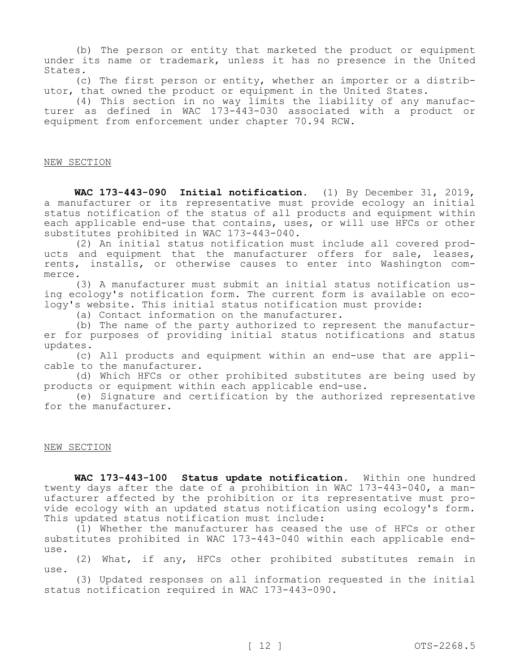(b) The person or entity that marketed the product or equipment under its name or trademark, unless it has no presence in the United States.

(c) The first person or entity, whether an importer or a distributor, that owned the product or equipment in the United States.

(4) This section in no way limits the liability of any manufacturer as defined in WAC 173-443-030 associated with a product or equipment from enforcement under chapter 70.94 RCW.

### NEW SECTION

**WAC 173-443-090 Initial notification.** (1) By December 31, 2019, a manufacturer or its representative must provide ecology an initial status notification of the status of all products and equipment within each applicable end-use that contains, uses, or will use HFCs or other substitutes prohibited in WAC 173-443-040.

(2) An initial status notification must include all covered products and equipment that the manufacturer offers for sale, leases, rents, installs, or otherwise causes to enter into Washington commerce.

(3) A manufacturer must submit an initial status notification using ecology's notification form. The current form is available on ecology's website. This initial status notification must provide:

(a) Contact information on the manufacturer.

(b) The name of the party authorized to represent the manufacturer for purposes of providing initial status notifications and status updates.

(c) All products and equipment within an end-use that are applicable to the manufacturer.

(d) Which HFCs or other prohibited substitutes are being used by products or equipment within each applicable end-use.

(e) Signature and certification by the authorized representative for the manufacturer.

### NEW SECTION

**WAC 173-443-100 Status update notification.** Within one hundred twenty days after the date of a prohibition in WAC 173-443-040, a manufacturer affected by the prohibition or its representative must provide ecology with an updated status notification using ecology's form. This updated status notification must include:

(1) Whether the manufacturer has ceased the use of HFCs or other substitutes prohibited in WAC 173-443-040 within each applicable enduse.

(2) What, if any, HFCs other prohibited substitutes remain in use.

(3) Updated responses on all information requested in the initial status notification required in WAC 173-443-090.